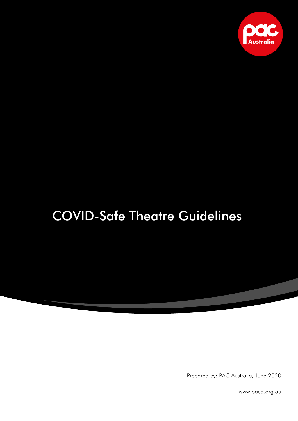

# COVID-Safe Theatre Guidelines

Prepared by: PAC Australia, June 2020

www.paca.org.au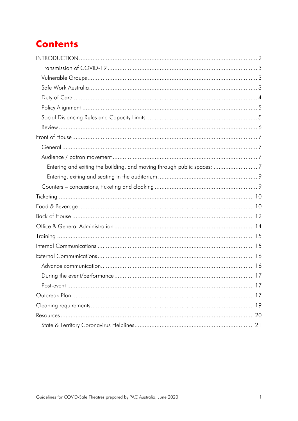## **Contents**

| Entering and exiting the building, and moving through public spaces: 7 |    |
|------------------------------------------------------------------------|----|
|                                                                        |    |
|                                                                        |    |
|                                                                        |    |
|                                                                        |    |
|                                                                        |    |
|                                                                        |    |
|                                                                        |    |
|                                                                        |    |
|                                                                        |    |
|                                                                        |    |
|                                                                        |    |
| During the event/performance.                                          | 17 |
|                                                                        |    |
|                                                                        |    |
|                                                                        |    |
|                                                                        |    |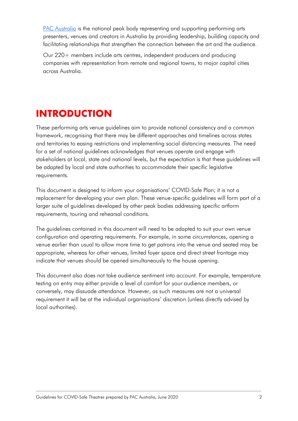PAC [Australia](http://www.paca.org.au/) is the national peak body representing and supporting performing arts presenters, venues and creators in Australia by providing leadership, building capacity and facilitating relationships that strengthen the connection between the art and the audience.

Our 220+ members include arts centres, independent producers and producing companies with representation from remote and regional towns, to major capital cities across Australia.

## <span id="page-2-0"></span>**INTRODUCTION**

These performing arts venue guidelines aim to provide national consistency and a common framework, recognising that there may be different approaches and timelines across states and territories to easing restrictions and implementing social distancing measures. The need for a set of national guidelines acknowledges that venues operate and engage with stakeholders at local, state and national levels, but the expectation is that these guidelines will be adapted by local and state authorities to accommodate their specific legislative requirements.

This document is designed to inform your organisations' COVID-Safe Plan; it is not a replacement for developing your own plan. These venue-specific guidelines will form part of a larger suite of guidelines developed by other peak bodies addressing specific artform requirements, touring and rehearsal conditions.

The guidelines contained in this document will need to be adapted to suit your own venue configuration and operating requirements. For example, in some circumstances, opening a venue earlier than usual to allow more time to get patrons into the venue and seated may be appropriate, whereas for other venues, limited foyer space and direct street frontage may indicate that venues should be opened simultaneously to the house opening.

This document also does not take audience sentiment into account. For example, temperature testing on entry may either provide a level of comfort for your audience members, or conversely, may dissuade attendance. However, as such measures are not a universal requirement it will be at the individual organisations' discretion (unless directly advised by local authorities).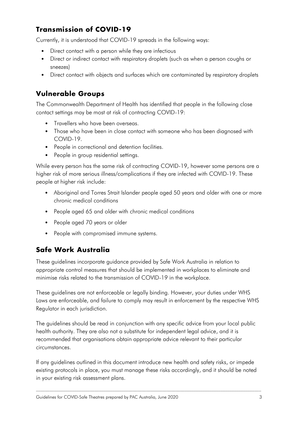### <span id="page-3-0"></span>**Transmission of COVID-19**

Currently, it is understood that COVID-19 spreads in the following ways:

- Direct contact with a person while they are infectious
- Direct or indirect contact with respiratory droplets (such as when a person coughs or sneezes)
- Direct contact with objects and surfaces which are contaminated by respiratory droplets

### <span id="page-3-1"></span>**Vulnerable Groups**

The Commonwealth Department of Health has identified that people in the following close contact settings may be most at risk of contracting COVID-19:

- Travellers who have been overseas.
- Those who have been in close contact with someone who has been diagnosed with COVID-19.
- People in correctional and detention facilities.
- People in group residential settings.

While every person has the same risk of contracting COVID-19, however some persons are a higher risk of more serious illness/complications if they are infected with COVID-19. These people at higher risk include:

- Aboriginal and Torres Strait Islander people aged 50 years and older with one or more chronic medical conditions
- People aged 65 and older with chronic medical conditions
- People aged 70 years or older
- People with compromised immune systems.

### <span id="page-3-2"></span>**Safe Work Australia**

These guidelines incorporate guidance provided by Safe Work Australia in relation to appropriate control measures that should be implemented in workplaces to eliminate and minimise risks related to the transmission of COVID-19 in the workplace.

These guidelines are not enforceable or legally binding. However, your duties under WHS Laws are enforceable, and failure to comply may result in enforcement by the respective WHS Regulator in each jurisdiction.

The guidelines should be read in conjunction with any specific advice from your local public health authority. They are also not a substitute for independent legal advice, and it is recommended that organisations obtain appropriate advice relevant to their particular circumstances.

If any guidelines outlined in this document introduce new health and safety risks, or impede existing protocols in place, you must manage these risks accordingly, and it should be noted in your existing risk assessment plans.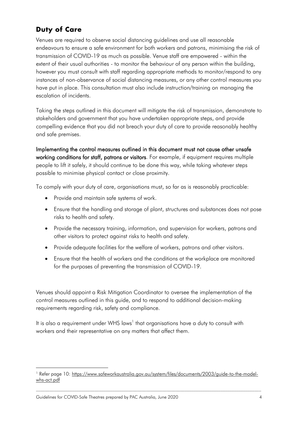### <span id="page-4-0"></span>**Duty of Care**

Venues are required to observe social distancing guidelines and use all reasonable endeavours to ensure a safe environment for both workers and patrons, minimising the risk of transmission of COVID-19 as much as possible. Venue staff are empowered - within the extent of their usual authorities - to monitor the behaviour of any person within the building, however you must consult with staff regarding appropriate methods to monitor/respond to any instances of non-observance of social distancing measures, or any other control measures you have put in place. This consultation must also include instruction/training on managing the escalation of incidents.

Taking the steps outlined in this document will mitigate the risk of transmission, demonstrate to stakeholders and government that you have undertaken appropriate steps, and provide compelling evidence that you did not breach your duty of care to provide reasonably healthy and safe premises.

Implementing the control measures outlined in this document must not cause other unsafe working conditions for staff, patrons or visitors. For example, if equipment requires multiple people to lift it safely, it should continue to be done this way, while taking whatever steps possible to minimise physical contact or close proximity.

To comply with your duty of care, organisations must, so far as is reasonably practicable:

- Provide and maintain safe systems of work.
- Ensure that the handling and storage of plant, structures and substances does not pose risks to health and safety.
- Provide the necessary training, information, and supervision for workers, patrons and other visitors to protect against risks to health and safety.
- Provide adequate facilities for the welfare of workers, patrons and other visitors.
- Ensure that the health of workers and the conditions at the workplace are monitored for the purposes of preventing the transmission of COVID-19.

Venues should appoint a Risk Mitigation Coordinator to oversee the implementation of the control measures outlined in this guide, and to respond to additional decision-making requirements regarding risk, safety and compliance.

It is also a requirement under WHS laws<sup>1</sup> that organisations have a duty to consult with workers and their representative on any matters that affect them.

<sup>&</sup>lt;sup>1</sup> Refer page 10: [https://www.safeworkaustralia.gov.au/system/files/documents/2003/guide-to-the-model](https://www.safeworkaustralia.gov.au/system/files/documents/2003/guide-to-the-model-whs-act.pdf)[whs-act.pdf](https://www.safeworkaustralia.gov.au/system/files/documents/2003/guide-to-the-model-whs-act.pdf)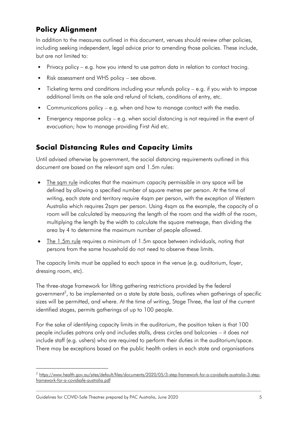### <span id="page-5-0"></span>**Policy Alignment**

In addition to the measures outlined in this document, venues should review other policies, including seeking independent, legal advice prior to amending those policies. These include, but are not limited to:

- Privacy policy e.g. how you intend to use patron data in relation to contact tracing.
- Risk assessment and WHS policy see above.
- Ticketing terms and conditions including your refunds policy e.g. if you wish to impose additional limits on the sale and refund of tickets, conditions of entry, etc.
- Communications policy e.g. when and how to manage contact with the media.
- Emergency response policy e.g. when social distancing is not required in the event of evacuation; how to manage providing First Aid etc.

### <span id="page-5-1"></span>**Social Distancing Rules and Capacity Limits**

Until advised otherwise by government, the social distancing requirements outlined in this document are based on the relevant sqm and 1.5m rules:

- The sam rule indicates that the maximum capacity permissible in any space will be defined by allowing a specified number of square metres per person. At the time of writing, each state and territory require 4sqm per person, with the exception of Western Australia which requires 2sqm per person. Using 4sqm as the example, the capacity of a room will be calculated by measuring the length of the room and the width of the room, multiplying the length by the width to calculate the square metreage, then dividing the area by 4 to determine the maximum number of people allowed.
- The 1.5m rule requires a minimum of 1.5m space between individuals, noting that persons from the same household do not need to observe these limits.

The capacity limits must be applied to each space in the venue (e.g. auditorium, foyer, dressing room, etc).

The three-stage framework for lifting gathering restrictions provided by the federal government<sup>2</sup>, to be implemented on a state by state basis, outlines when gatherings of specific sizes will be permitted, and where. At the time of writing, Stage Three, the last of the current identified stages, permits gatherings of up to 100 people.

For the sake of identifying capacity limits in the auditorium, the position taken is that 100 people includes patrons only and includes stalls, dress circles and balconies – it does not include staff (e.g. ushers) who are required to perform their duties in the auditorium/space. There may be exceptions based on the public health orders in each state and organisations

<sup>2</sup> [https://www.health.gov.au/sites/default/files/documents/2020/05/3-step-framework-for-a-covidsafe-australia-3-step](https://www.health.gov.au/sites/default/files/documents/2020/05/3-step-framework-for-a-covidsafe-australia-3-step-framework-for-a-covidsafe-australia.pdf)[framework-for-a-covidsafe-australia.pdf](https://www.health.gov.au/sites/default/files/documents/2020/05/3-step-framework-for-a-covidsafe-australia-3-step-framework-for-a-covidsafe-australia.pdf)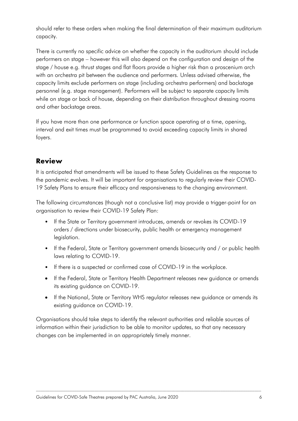should refer to these orders when making the final determination of their maximum auditorium capacity.

There is currently no specific advice on whether the capacity in the auditorium should include performers on stage – however this will also depend on the configuration and design of the stage / house e.g. thrust stages and flat floors provide a higher risk than a proscenium arch with an orchestra pit between the audience and performers. Unless advised otherwise, the capacity limits exclude performers on stage (including orchestra performers) and backstage personnel (e.g. stage management). Performers will be subject to separate capacity limits while on stage or back of house, depending on their distribution throughout dressing rooms and other backstage areas.

If you have more than one performance or function space operating at a time, opening, interval and exit times must be programmed to avoid exceeding capacity limits in shared foyers.

### <span id="page-6-0"></span>**Review**

It is anticipated that amendments will be issued to these Safety Guidelines as the response to the pandemic evolves. It will be important for organisations to regularly review their COVID-19 Safety Plans to ensure their efficacy and responsiveness to the changing environment.

The following circumstances (though not a conclusive list) may provide a trigger-point for an organisation to review their COVID-19 Safety Plan:

- If the State or Territory government introduces, amends or revokes its COVID-19 orders / directions under biosecurity, public health or emergency management legislation.
- If the Federal, State or Territory government amends biosecurity and / or public health laws relating to COVID-19.
- If there is a suspected or confirmed case of COVID-19 in the workplace.
- If the Federal, State or Territory Health Department releases new guidance or amends its existing guidance on COVID-19.
- If the National, State or Territory WHS regulator releases new guidance or amends its existing guidance on COVID-19.

Organisations should take steps to identify the relevant authorities and reliable sources of information within their jurisdiction to be able to monitor updates, so that any necessary changes can be implemented in an appropriately timely manner.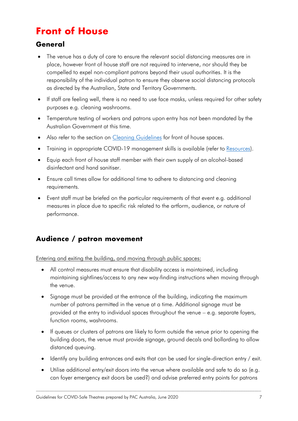## <span id="page-7-0"></span>**Front of House**

### <span id="page-7-1"></span>**General**

- The venue has a duty of care to ensure the relevant social distancing measures are in place, however front of house staff are not required to intervene, nor should they be compelled to expel non-compliant patrons beyond their usual authorities. It is the responsibility of the individual patron to ensure they observe social distancing protocols as directed by the Australian, State and Territory Governments.
- If staff are feeling well, there is no need to use face masks, unless required for other safety purposes e.g. cleaning washrooms.
- Temperature testing of workers and patrons upon entry has not been mandated by the Australian Government at this time.
- Also refer to the section on [Cleaning Guidelines](#page-19-0) for front of house spaces.
- Training in appropriate COVID-19 management skills is available (refer to [Resources\)](#page-19-1).
- Equip each front of house staff member with their own supply of an alcohol-based disinfectant and hand sanitiser.
- Ensure call times allow for additional time to adhere to distancing and cleaning requirements.
- Event staff must be briefed on the particular requirements of that event e.g. additional measures in place due to specific risk related to the artform, audience, or nature of performance.

### <span id="page-7-2"></span>**Audience / patron movement**

<span id="page-7-3"></span>Entering and exiting the building, and moving through public spaces:

- All control measures must ensure that disability access is maintained, including maintaining sightlines/access to any new way-finding instructions when moving through the venue.
- Signage must be provided at the entrance of the building, indicating the maximum number of patrons permitted in the venue at a time. Additional signage must be provided at the entry to individual spaces throughout the venue – e.g. separate foyers, function rooms, washrooms.
- If queues or clusters of patrons are likely to form outside the venue prior to opening the building doors, the venue must provide signage, ground decals and bollarding to allow distanced queuing.
- Identify any building entrances and exits that can be used for single-direction entry / exit.
- Utilise additional entry/exit doors into the venue where available and safe to do so (e.g. can foyer emergency exit doors be used?) and advise preferred entry points for patrons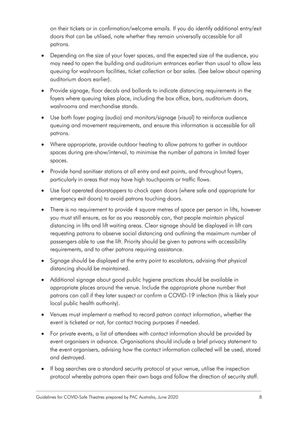on their tickets or in confirmation/welcome emails. If you do identify additional entry/exit doors that can be utilised, note whether they remain universally accessible for all patrons.

- Depending on the size of your foyer spaces, and the expected size of the audience, you may need to open the building and auditorium entrances earlier than usual to allow less queuing for washroom facilities, ticket collection or bar sales. (See below about opening auditorium doors earlier).
- Provide signage, floor decals and bollards to indicate distancing requirements in the foyers where queuing takes place, including the box office, bars, auditorium doors, washrooms and merchandise stands.
- Use both foyer paging (audio) and monitors/signage (visual) to reinforce audience queuing and movement requirements, and ensure this information is accessible for all patrons.
- Where appropriate, provide outdoor heating to allow patrons to gather in outdoor spaces during pre-show/interval, to minimise the number of patrons in limited foyer spaces.
- Provide hand sanitiser stations at all entry and exit points, and throughout foyers, particularly in areas that may have high touchpoints or traffic flows.
- Use foot operated doorstoppers to chock open doors (where safe and appropriate for emergency exit doors) to avoid patrons touching doors.
- There is no requirement to provide 4 square metres of space per person in lifts, however you must still ensure, as far as you reasonably can, that people maintain physical distancing in lifts and lift waiting areas. Clear signage should be displayed in lift cars requesting patrons to observe social distancing and outlining the maximum number of passengers able to use the lift. Priority should be given to patrons with accessibility requirements, and to other patrons requiring assistance.
- Signage should be displayed at the entry point to escalators, advising that physical distancing should be maintained.
- Additional signage about good public hygiene practices should be available in appropriate places around the venue. Include the appropriate phone number that patrons can call if they later suspect or confirm a COVID-19 infection (this is likely your local public health authority).
- Venues must implement a method to record patron contact information, whether the event is ticketed or not, for contact tracing purposes if needed.
- For private events, a list of attendees with contact information should be provided by event organisers in advance. Organisations should include a brief privacy statement to the event organisers, advising how the contact information collected will be used, stored and destroyed.
- If bag searches are a standard security protocol at your venue, utilise the inspection protocol whereby patrons open their own bags and follow the direction of security staff.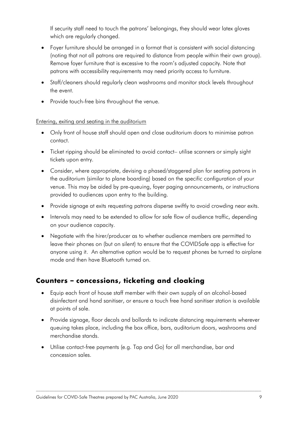If security staff need to touch the patrons' belongings, they should wear latex gloves which are regularly changed.

- Foyer furniture should be arranged in a format that is consistent with social distancing (noting that not all patrons are required to distance from people within their own group). Remove foyer furniture that is excessive to the room's adjusted capacity. Note that patrons with accessibility requirements may need priority access to furniture.
- Staff/cleaners should regularly clean washrooms and monitor stock levels throughout the event.
- Provide touch-free bins throughout the venue.

#### <span id="page-9-0"></span>Entering, exiting and seating in the auditorium

- Only front of house staff should open and close auditorium doors to minimise patron contact.
- Ticket ripping should be eliminated to avoid contact– utilise scanners or simply sight tickets upon entry.
- Consider, where appropriate, devising a phased/staggered plan for seating patrons in the auditorium (similar to plane boarding) based on the specific configuration of your venue. This may be aided by pre-queuing, foyer paging announcements, or instructions provided to audiences upon entry to the building.
- Provide signage at exits requesting patrons disperse swiftly to avoid crowding near exits.
- Intervals may need to be extended to allow for safe flow of audience traffic, depending on your audience capacity.
- Negotiate with the hirer/producer as to whether audience members are permitted to leave their phones on (but on silent) to ensure that the COVIDSafe app is effective for anyone using it. An alternative option would be to request phones be turned to airplane mode and then have Bluetooth turned on.

### <span id="page-9-1"></span>**Counters – concessions, ticketing and cloaking**

- Equip each front of house staff member with their own supply of an alcohol-based disinfectant and hand sanitiser, or ensure a touch free hand sanitiser station is available at points of sale.
- Provide signage, floor decals and bollards to indicate distancing requirements wherever queuing takes place, including the box office, bars, auditorium doors, washrooms and merchandise stands.
- Utilise contact-free payments (e.g. Tap and Go) for all merchandise, bar and concession sales.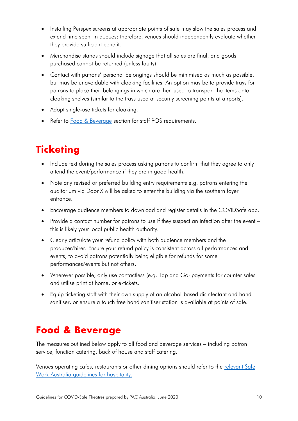- Installing Perspex screens at appropriate points of sale may slow the sales process and extend time spent in queues; therefore, venues should independently evaluate whether they provide sufficient benefit.
- Merchandise stands should include signage that all sales are final, and goods purchased cannot be returned (unless faulty).
- Contact with patrons' personal belongings should be minimised as much as possible, but may be unavoidable with cloaking facilities. An option may be to provide trays for patrons to place their belongings in which are then used to transport the items onto cloaking shelves (similar to the trays used at security screening points at airports).
- Adopt single-use tickets for cloaking.
- Refer to **Food & Beverage** section for staff POS requirements.

## <span id="page-10-0"></span>**Ticketing**

- Include text during the sales process asking patrons to confirm that they agree to only attend the event/performance if they are in good health.
- Note any revised or preferred building entry requirements e.g. patrons entering the auditorium via Door X will be asked to enter the building via the southern foyer entrance.
- Encourage audience members to download and register details in the COVIDSafe app.
- Provide a contact number for patrons to use if they suspect an infection after the event this is likely your local public health authority.
- Clearly articulate your refund policy with both audience members and the producer/hirer. Ensure your refund policy is consistent across all performances and events, to avoid patrons potentially being eligible for refunds for some performances/events but not others.
- Wherever possible, only use contactless (e.g. Tap and Go) payments for counter sales and utilise print at home, or e-tickets.
- Equip ticketing staff with their own supply of an alcohol-based disinfectant and hand sanitiser, or ensure a touch free hand sanitiser station is available at points of sale.

## <span id="page-10-1"></span>**Food & Beverage**

The measures outlined below apply to all food and beverage services – including patron service, function catering, back of house and staff catering.

Venues operating cafes, restaurants or other dining options should refer to the relevant Safe [Work Australia guidelines for hospitality.](#page-19-1)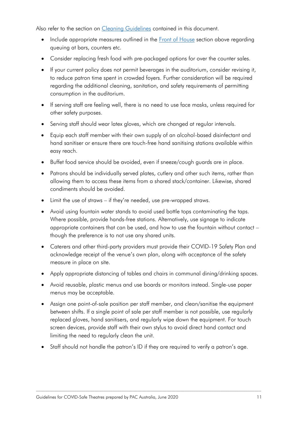Also refer to the section on [Cleaning Guidelines](#page-19-0) contained in this document.

- Include appropriate measures outlined in the **Front of House** section above regarding queuing at bars, counters etc.
- Consider replacing fresh food with pre-packaged options for over the counter sales.
- If your current policy does not permit beverages in the auditorium, consider revising it, to reduce patron time spent in crowded foyers. Further consideration will be required regarding the additional cleaning, sanitation, and safety requirements of permitting consumption in the auditorium.
- If serving staff are feeling well, there is no need to use face masks, unless required for other safety purposes.
- Serving staff should wear latex gloves, which are changed at regular intervals.
- Equip each staff member with their own supply of an alcohol-based disinfectant and hand sanitiser or ensure there are touch-free hand sanitising stations available within easy reach.
- Buffet food service should be avoided, even if sneeze/cough guards are in place.
- Patrons should be individually served plates, cutlery and other such items, rather than allowing them to access these items from a shared stack/container. Likewise, shared condiments should be avoided.
- Limit the use of straws if they're needed, use pre-wrapped straws.
- Avoid using fountain water stands to avoid used bottle tops contaminating the taps. Where possible, provide hands-free stations. Alternatively, use signage to indicate appropriate containers that can be used, and how to use the fountain without contact – though the preference is to not use any shared units.
- Caterers and other third-party providers must provide their COVID-19 Safety Plan and acknowledge receipt of the venue's own plan, along with acceptance of the safety measure in place on site.
- Apply appropriate distancing of tables and chairs in communal dining/drinking spaces.
- Avoid reusable, plastic menus and use boards or monitors instead. Single-use paper menus may be acceptable.
- Assign one point-of-sale position per staff member, and clean/sanitise the equipment between shifts. If a single point of sale per staff member is not possible, use regularly replaced gloves, hand sanitisers, and regularly wipe down the equipment. For touch screen devices, provide staff with their own stylus to avoid direct hand contact and limiting the need to regularly clean the unit.
- Staff should not handle the patron's ID if they are required to verify a patron's age.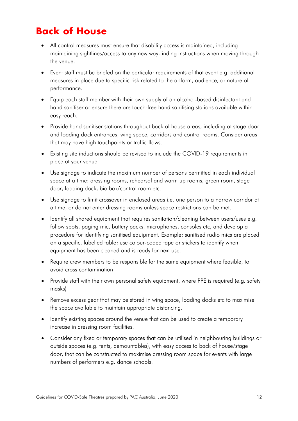## <span id="page-12-0"></span>**Back of House**

- All control measures must ensure that disability access is maintained, including maintaining sightlines/access to any new way-finding instructions when moving through the venue.
- Event staff must be briefed on the particular requirements of that event e.g. additional measures in place due to specific risk related to the artform, audience, or nature of performance.
- Equip each staff member with their own supply of an alcohol-based disinfectant and hand sanitiser or ensure there are touch-free hand sanitising stations available within easy reach.
- Provide hand sanitiser stations throughout back of house areas, including at stage door and loading dock entrances, wing space, corridors and control rooms. Consider areas that may have high touchpoints or traffic flows.
- Existing site inductions should be revised to include the COVID-19 requirements in place at your venue.
- Use signage to indicate the maximum number of persons permitted in each individual space at a time: dressing rooms, rehearsal and warm up rooms, green room, stage door, loading dock, bio box/control room etc.
- Use signage to limit crossover in enclosed areas i.e. one person to a narrow corridor at a time, or do not enter dressing rooms unless space restrictions can be met.
- Identify all shared equipment that requires sanitation/cleaning between users/uses e.g. follow spots, paging mic, battery packs, microphones, consoles etc, and develop a procedure for identifying sanitised equipment. Example: sanitised radio mics are placed on a specific, labelled table; use colour-coded tape or stickers to identify when equipment has been cleaned and is ready for next use.
- Require crew members to be responsible for the same equipment where feasible, to avoid cross contamination
- Provide staff with their own personal safety equipment, where PPE is required (e.g. safety masks)
- Remove excess gear that may be stored in wing space, loading docks etc to maximise the space available to maintain appropriate distancing.
- Identify existing spaces around the venue that can be used to create a temporary increase in dressing room facilities.
- Consider any fixed or temporary spaces that can be utilised in neighbouring buildings or outside spaces (e.g. tents, demountables), with easy access to back of house/stage door, that can be constructed to maximise dressing room space for events with large numbers of performers e.g. dance schools.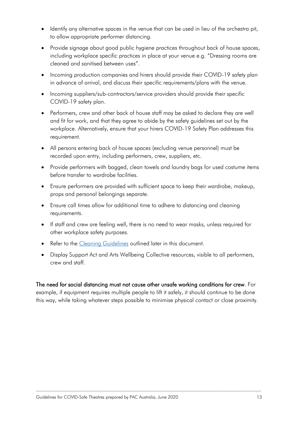- Identify any alternative spaces in the venue that can be used in lieu of the orchestra pit, to allow appropriate performer distancing.
- Provide signage about good public hygiene practices throughout back of house spaces, including workplace specific practices in place at your venue e.g. "Dressing rooms are cleaned and sanitised between uses".
- Incoming production companies and hirers should provide their COVID-19 safety plan in advance of arrival, and discuss their specific requirements/plans with the venue.
- Incoming suppliers/sub-contractors/service providers should provide their specific COVID-19 safety plan.
- Performers, crew and other back of house staff may be asked to declare they are well and fit for work, and that they agree to abide by the safety guidelines set out by the workplace. Alternatively, ensure that your hirers COVID-19 Safety Plan addresses this requirement.
- All persons entering back of house spaces (excluding venue personnel) must be recorded upon entry, including performers, crew, suppliers, etc.
- Provide performers with bagged, clean towels and laundry bags for used costume items before transfer to wardrobe facilities.
- Ensure performers are provided with sufficient space to keep their wardrobe, makeup, props and personal belongings separate.
- Ensure call times allow for additional time to adhere to distancing and cleaning requirements.
- If staff and crew are feeling well, there is no need to wear masks, unless required for other workplace safety purposes.
- Refer to the [Cleaning Guidelines](#page-19-0) outlined later in this document.
- Display Support Act and Arts Wellbeing Collective resources, visible to all performers, crew and staff.

The need for social distancing must not cause other unsafe working conditions for crew. For example, if equipment requires multiple people to lift it safely, it should continue to be done this way, while taking whatever steps possible to minimise physical contact or close proximity.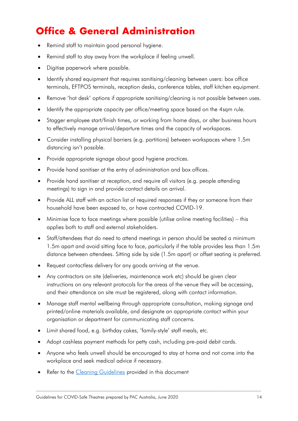## <span id="page-14-0"></span>**Office & General Administration**

- Remind staff to maintain good personal hygiene.
- Remind staff to stay away from the workplace if feeling unwell.
- Digitise paperwork where possible.
- Identify shared equipment that requires sanitising/cleaning between users: box office terminals, EFTPOS terminals, reception desks, conference tables, staff kitchen equipment.
- Remove 'hot desk' options if appropriate sanitising/cleaning is not possible between uses.
- Identify the appropriate capacity per office/meeting space based on the 4sqm rule.
- Stagger employee start/finish times, or working from home days, or alter business hours to effectively manage arrival/departure times and the capacity of workspaces.
- Consider installing physical barriers (e.g. partitions) between workspaces where 1.5m distancing isn't possible.
- Provide appropriate signage about good hygiene practices.
- Provide hand sanitiser at the entry of administration and box offices.
- Provide hand sanitiser at reception, and require all visitors (e.g. people attending meetings) to sign in and provide contact details on arrival.
- Provide ALL staff with an action list of required responses if they or someone from their household have been exposed to, or have contracted COVID-19.
- Minimise face to face meetings where possible (utilise online meeting facilities) this applies both to staff and external stakeholders.
- Staff/attendees that do need to attend meetings in person should be seated a minimum 1.5m apart and avoid sitting face to face, particularly if the table provides less than 1.5m distance between attendees. Sitting side by side (1.5m apart) or offset seating is preferred.
- Request contactless delivery for any goods arriving at the venue.
- Any contractors on site (deliveries, maintenance work etc) should be given clear instructions on any relevant protocols for the areas of the venue they will be accessing, and their attendance on site must be registered, along with contact information.
- Manage staff mental wellbeing through appropriate consultation, making signage and printed/online materials available, and designate an appropriate contact within your organisation or department for communicating staff concerns.
- Limit shared food, e.g. birthday cakes, 'family-style' staff meals, etc.
- Adopt cashless payment methods for petty cash, including pre-paid debit cards.
- Anyone who feels unwell should be encouraged to stay at home and not come into the workplace and seek medical advice if necessary.
- Refer to the [Cleaning Guidelines](#page-19-0) provided in this document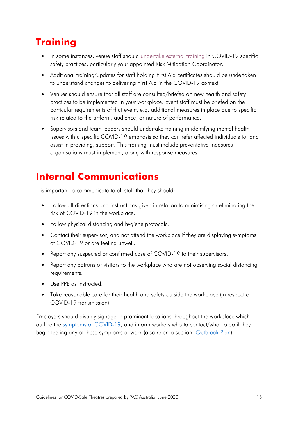## <span id="page-15-0"></span>**Training**

- In some instances, venue staff should [undertake](#page-20-0) external training in COVID-19 specific safety practices, particularly your appointed Risk Mitigation Coordinator.
- Additional training/updates for staff holding First Aid certificates should be undertaken to understand changes to delivering First Aid in the COVID-19 context.
- Venues should ensure that all staff are consulted/briefed on new health and safety practices to be implemented in your workplace. Event staff must be briefed on the particular requirements of that event, e.g. additional measures in place due to specific risk related to the artform, audience, or nature of performance.
- Supervisors and team leaders should undertake training in identifying mental health issues with a specific COVID-19 emphasis so they can refer affected individuals to, and assist in providing, support. This training must include preventative measures organisations must implement, along with response measures.

## <span id="page-15-1"></span>**Internal Communications**

It is important to communicate to all staff that they should:

- Follow all directions and instructions given in relation to minimising or eliminating the risk of COVID-19 in the workplace.
- Follow physical distancing and hygiene protocols.
- Contact their supervisor, and not attend the workplace if they are displaying symptoms of COVID-19 or are feeling unwell.
- Report any suspected or confirmed case of COVID-19 to their supervisors.
- Report any patrons or visitors to the workplace who are not observing social distancing requirements.
- Use PPF as instructed
- Take reasonable care for their health and safety outside the workplace (in respect of COVID-19 transmission).

Employers should display signage in prominent locations throughout the workplace which outline the [symptoms of COVID-19,](#page-20-0) and inform workers who to contact/what to do if they begin feeling any of these symptoms at work (also refer to section: [Outbreak Plan\)](#page-17-2).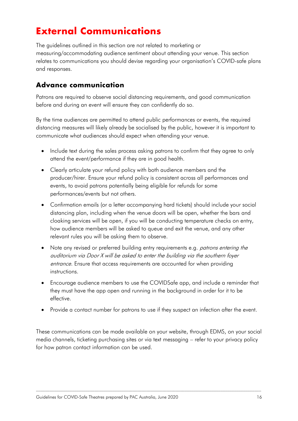## <span id="page-16-0"></span>**External Communications**

The guidelines outlined in this section are not related to marketing or measuring/accommodating audience sentiment about attending your venue. This section relates to communications you should devise regarding your organisation's COVID-safe plans and responses.

### <span id="page-16-1"></span>**Advance communication**

Patrons are required to observe social distancing requirements, and good communication before and during an event will ensure they can confidently do so.

By the time audiences are permitted to attend public performances or events, the required distancing measures will likely already be socialised by the public, however it is important to communicate what audiences should expect when attending your venue.

- Include text during the sales process asking patrons to confirm that they agree to only attend the event/performance if they are in good health.
- Clearly articulate your refund policy with both audience members and the producer/hirer. Ensure your refund policy is consistent across all performances and events, to avoid patrons potentially being eligible for refunds for some performances/events but not others.
- Confirmation emails (or a letter accompanying hard tickets) should include your social distancing plan, including when the venue doors will be open, whether the bars and cloaking services will be open, if you will be conducting temperature checks on entry, how audience members will be asked to queue and exit the venue, and any other relevant rules you will be asking them to observe.
- Note any revised or preferred building entry requirements e.g. *patrons entering the* auditorium via Door X will be asked to enter the building via the southern foyer entrance. Ensure that access requirements are accounted for when providing instructions.
- Encourage audience members to use the COVIDSafe app, and include a reminder that they must have the app open and running in the background in order for it to be effective.
- Provide a contact number for patrons to use if they suspect an infection after the event.

These communications can be made available on your website, through EDMS, on your social media channels, ticketing purchasing sites or via text messaging – refer to your privacy policy for how patron contact information can be used.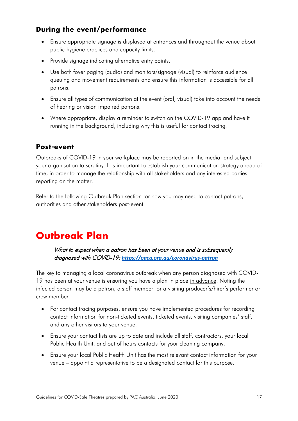### <span id="page-17-0"></span>**During the event/performance**

- Ensure appropriate signage is displayed at entrances and throughout the venue about public hygiene practices and capacity limits.
- Provide signage indicating alternative entry points.
- Use both foyer paging (audio) and monitors/signage (visual) to reinforce audience queuing and movement requirements and ensure this information is accessible for all patrons.
- Ensure all types of communication at the event (oral, visual) take into account the needs of hearing or vision impaired patrons.
- Where appropriate, display a reminder to switch on the COVID-19 app and have it running in the background, including why this is useful for contact tracing.

#### <span id="page-17-1"></span>**Post-event**

Outbreaks of COVID-19 in your workplace may be reported on in the media, and subject your organisation to scrutiny. It is important to establish your communication strategy ahead of time, in order to manage the relationship with all stakeholders and any interested parties reporting on the matter.

Refer to the following Outbreak Plan section for how you may need to contact patrons, authorities and other stakeholders post-event.

## <span id="page-17-2"></span>**Outbreak Plan**

What to expect when a patron has been at your venue and is subsequently diagnosed with COVID-19: *<https://paca.org.au/coronavirus-patron>*

The key to managing a local coronavirus outbreak when any person diagnosed with COVID-19 has been at your venue is ensuring you have a plan in place in advance. Noting the infected person may be a patron, a staff member, or a visiting producer's/hirer's performer or crew member.

- For contact tracing purposes, ensure you have implemented procedures for recording contact information for non-ticketed events, ticketed events, visiting companies' staff, and any other visitors to your venue.
- Ensure your contact lists are up to date and include all staff, contractors, your local Public Health Unit, and out of hours contacts for your cleaning company.
- Ensure your local Public Health Unit has the most relevant contact information for your venue – appoint a representative to be a designated contact for this purpose.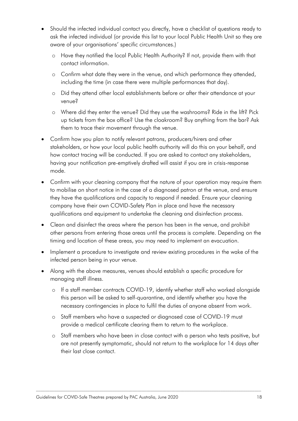- Should the infected individual contact you directly, have a checklist of questions ready to ask the infected individual (or provide this list to your local Public Health Unit so they are aware of your organisations' specific circumstances.)
	- o Have they notified the local Public Health Authority? If not, provide them with that contact information.
	- o Confirm what date they were in the venue, and which performance they attended, including the time (in case there were multiple performances that day).
	- o Did they attend other local establishments before or after their attendance at your venue?
	- o Where did they enter the venue? Did they use the washrooms? Ride in the lift? Pick up tickets from the box office? Use the cloakroom? Buy anything from the bar? Ask them to trace their movement through the venue.
- Confirm how you plan to notify relevant patrons, producers/hirers and other stakeholders, or how your local public health authority will do this on your behalf, and how contact tracing will be conducted. If you are asked to contact any stakeholders, having your notification pre-emptively drafted will assist if you are in crisis-response mode.
- Confirm with your cleaning company that the nature of your operation may require them to mobilise on short notice in the case of a diagnosed patron at the venue, and ensure they have the qualifications and capacity to respond if needed. Ensure your cleaning company have their own COVID-Safety Plan in place and have the necessary qualifications and equipment to undertake the cleaning and disinfection process.
- Clean and disinfect the areas where the person has been in the venue, and prohibit other persons from entering those areas until the process is complete. Depending on the timing and location of these areas, you may need to implement an evacuation.
- Implement a procedure to investigate and review existing procedures in the wake of the infected person being in your venue.
- Along with the above measures, venues should establish a specific procedure for managing staff illness.
	- o If a staff member contracts COVID-19, identify whether staff who worked alongside this person will be asked to self-quarantine, and identify whether you have the necessary contingencies in place to fulfil the duties of anyone absent from work.
	- o Staff members who have a suspected or diagnosed case of COVID-19 must provide a medical certificate clearing them to return to the workplace.
	- o Staff members who have been in close contact with a person who tests positive, but are not presently symptomatic, should not return to the workplace for 14 days after their last close contact.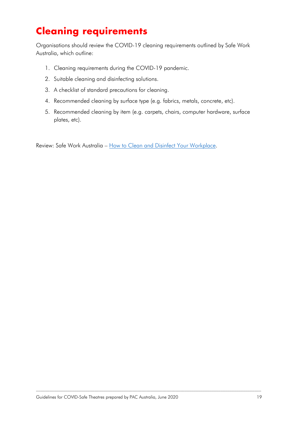## <span id="page-19-0"></span>**Cleaning requirements**

Organisations should review the COVID-19 cleaning requirements outlined by Safe Work Australia, which outline:

- 1. Cleaning requirements during the COVID-19 pandemic.
- 2. Suitable cleaning and disinfecting solutions.
- 3. A checklist of standard precautions for cleaning.
- 4. Recommended cleaning by surface type (e.g. fabrics, metals, concrete, etc).
- 5. Recommended cleaning by item (e.g. carpets, chairs, computer hardware, surface plates, etc).

<span id="page-19-1"></span>Review: Safe Work Australia – [How to Clean and Disinfect Your Workplace.](https://swa.govcms.gov.au/sites/default/files/2020-04/how-to-clean-disinfect-your-workplace-covid19.pdf)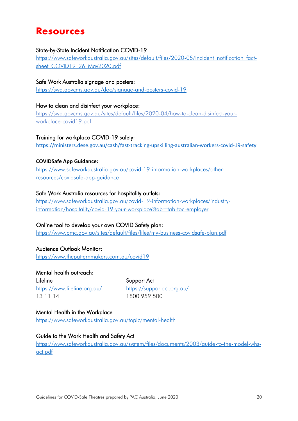## <span id="page-20-0"></span>**Resources**

#### State-by-State Incident Notification COVID-19

[https://www.safeworkaustralia.gov.au/sites/default/files/2020-05/Incident\\_notification\\_fact](https://www.safeworkaustralia.gov.au/sites/default/files/2020-05/Incident_notification_fact-sheet_COVID19_26_May2020.pdf)sheet COVID19 26 May2020.pdf

#### Safe Work Australia signage and posters:

<https://swa.govcms.gov.au/doc/signage-and-posters-covid-19>

How to clean and disinfect your workplace: [https://swa.govcms.gov.au/sites/default/files/2020-04/how-to-clean-disinfect-your](https://swa.govcms.gov.au/sites/default/files/2020-04/how-to-clean-disinfect-your-workplace-covid19.pdf)[workplace-covid19.pdf](https://swa.govcms.gov.au/sites/default/files/2020-04/how-to-clean-disinfect-your-workplace-covid19.pdf)

#### Training for workplace COVID-19 safety:

<https://ministers.dese.gov.au/cash/fast-tracking-upskilling-australian-workers-covid-19-safety>

#### **COVIDSafe App Guidance:**

[https://www.safeworkaustralia.gov.au/covid-19-information-workplaces/other](https://www.safeworkaustralia.gov.au/covid-19-information-workplaces/other-resources/covidsafe-app-guidance)[resources/covidsafe-app-guidance](https://www.safeworkaustralia.gov.au/covid-19-information-workplaces/other-resources/covidsafe-app-guidance)

#### Safe Work Australia resources for hospitality outlets:

[https://www.safeworkaustralia.gov.au/covid-19-information-workplaces/industry](https://www.safeworkaustralia.gov.au/covid-19-information-workplaces/industry-information/hospitality/covid-19-your-workplace?tab=tab-toc-employer)[information/hospitality/covid-19-your-workplace?tab=tab-toc-employer](https://www.safeworkaustralia.gov.au/covid-19-information-workplaces/industry-information/hospitality/covid-19-your-workplace?tab=tab-toc-employer)

#### Online tool to develop your own COVID Safety plan:

<https://www.pmc.gov.au/sites/default/files/files/my-business-covidsafe-plan.pdf>

#### Audience Outlook Monitor:

<https://www.thepatternmakers.com.au/covid19>

#### Mental health outreach:

Lifeline Support Act <https://www.lifeline.org.au/><https://supportact.org.au/> 13 11 14 1800 959 500

#### Mental Health in the Workplace

<https://www.safeworkaustralia.gov.au/topic/mental-health>

#### Guide to the Work Health and Safety Act

[https://www.safeworkaustralia.gov.au/system/files/documents/2003/guide-to-the-model-whs](https://www.safeworkaustralia.gov.au/system/files/documents/2003/guide-to-the-model-whs-act.pdf)[act.pdf](https://www.safeworkaustralia.gov.au/system/files/documents/2003/guide-to-the-model-whs-act.pdf)